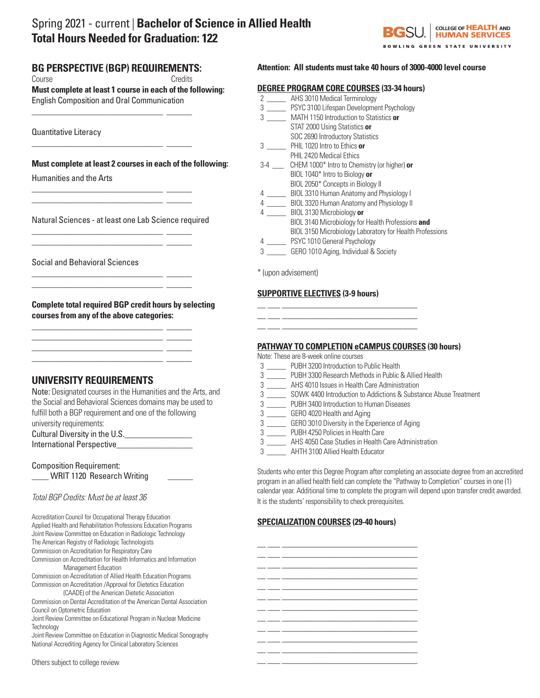# Spring 2021 - current | **Bachelor of Science in Allied Health Total Hours Needed for Graduation: 122**



## **BG PERSPECTIVE (BGP) REQUIREMENTS:**

Course Credits

\_\_\_\_\_\_\_\_\_\_\_\_\_\_\_\_\_\_\_\_\_\_\_\_\_\_\_\_\_\_\_ \_\_\_\_\_\_

\_\_\_\_\_\_\_\_\_\_\_\_\_\_\_\_\_\_\_\_\_\_\_\_\_\_\_\_\_\_\_ \_\_\_\_\_\_

\_\_\_\_\_\_\_\_\_\_\_\_\_\_\_\_\_\_\_\_\_\_\_\_\_\_\_\_\_\_\_ \_\_\_\_\_\_ \_\_\_\_\_\_\_\_\_\_\_\_\_\_\_\_\_\_\_\_\_\_\_\_\_\_\_\_\_\_\_ \_\_\_\_\_\_

\_\_\_\_\_\_\_\_\_\_\_\_\_\_\_\_\_\_\_\_\_\_\_\_\_\_\_\_\_\_\_ \_\_\_\_\_\_ \_\_\_\_\_\_\_\_\_\_\_\_\_\_\_\_\_\_\_\_\_\_\_\_\_\_\_\_\_\_\_ \_\_\_\_\_\_

\_\_\_\_\_\_\_\_\_\_\_\_\_\_\_\_\_\_\_\_\_\_\_\_\_\_\_\_\_\_\_ \_\_\_\_\_\_ \_\_\_\_\_\_\_\_\_\_\_\_\_\_\_\_\_\_\_\_\_\_\_\_\_\_\_\_\_\_\_ \_\_\_\_\_\_

\_\_\_\_\_\_\_\_\_\_\_\_\_\_\_\_\_\_\_\_\_\_\_\_\_\_\_\_\_\_\_ \_\_\_\_\_\_ \_\_\_\_\_\_\_\_\_\_\_\_\_\_\_\_\_\_\_\_\_\_\_\_\_\_\_\_\_\_\_ \_\_\_\_\_\_  $\frac{1}{2}$  ,  $\frac{1}{2}$  ,  $\frac{1}{2}$  ,  $\frac{1}{2}$  ,  $\frac{1}{2}$  ,  $\frac{1}{2}$  ,  $\frac{1}{2}$  ,  $\frac{1}{2}$  ,  $\frac{1}{2}$  ,  $\frac{1}{2}$ \_\_\_\_\_\_\_\_\_\_\_\_\_\_\_\_\_\_\_\_\_\_\_\_\_\_\_\_\_\_\_ \_\_\_\_\_\_

**Must complete at least 1 course in each of the following:**  English Composition and Oral Communication

Quantitative Literacy

**Must complete at least 2 courses in each of the following:**

Humanities and the Arts

Natural Sciences - at least one Lab Science required

Social and Behavioral Sciences

**Complete total required BGP credit hours by selecting courses from any of the above categories:**

# **UNIVERSITY REQUIREMENTS**

| Note: Designated courses in the Humanities and the Arts, and |
|--------------------------------------------------------------|
| the Social and Behavioral Sciences domains may be used to    |
| fulfill both a BGP requirement and one of the following      |
| university requirements:                                     |
| Cultural Diversity in the U.S.                               |
| International Perspective                                    |

| <b>Composition Requirement:</b>   |  |
|-----------------------------------|--|
| <b>WRIT 1120 Research Writing</b> |  |

### *Total BGP Credits: Must be at least 36*

| Accreditation Council for Occupational Therapy Education<br>Applied Health and Rehabilitation Professions Education Programs<br>Joint Review Committee on Education in Radiologic Technology | <b>SPECIALIZA</b> |
|----------------------------------------------------------------------------------------------------------------------------------------------------------------------------------------------|-------------------|
| The American Registry of Radiologic Technologists                                                                                                                                            |                   |
| Commission on Accreditation for Respiratory Care                                                                                                                                             |                   |
| Commission on Accreditation for Health Informatics and Information                                                                                                                           |                   |
| Management Education                                                                                                                                                                         |                   |
| Commission on Accreditation of Allied Health Education Programs                                                                                                                              |                   |
| Commission on Accreditation / Approval for Dietetics Education                                                                                                                               |                   |
| (CAADE) of the American Dietetic Association                                                                                                                                                 |                   |
| Commission on Dental Accreditation of the American Dental Association                                                                                                                        |                   |
| Council on Optometric Education                                                                                                                                                              |                   |
| Joint Review Committee on Educational Program in Nuclear Medicine                                                                                                                            |                   |
| Technology                                                                                                                                                                                   |                   |
| Joint Review Committee on Education in Diagnostic Medical Sonography                                                                                                                         |                   |
|                                                                                                                                                                                              |                   |

National Accrediting Agency for Clinical Laboratory Sciences

#### Others subject to college review

### **Attention: All students must take 40 hours of 3000-4000 level course**

|                                | <b>DEGREE PROGRAM CORE COURSES (33-34 hours)</b>         |
|--------------------------------|----------------------------------------------------------|
| $2 \left( \frac{1}{2} \right)$ | AHS 3010 Medical Terminology                             |
|                                | 3 PSYC 3100 Lifespan Development Psychology              |
| $3 \sim$                       | MATH 1150 Introduction to Statistics or                  |
|                                | STAT 2000 Using Statistics or                            |
|                                | SOC 2690 Introductory Statistics                         |
| $3^{\circ}$                    | PHIL 1020 Intro to Ethics or                             |
|                                | PHIL 2420 Medical Ethics                                 |
| $3-4$ $\qquad$                 | CHEM 1000* Intro to Chemistry (or higher) or             |
|                                | BIOL 1040* Intro to Biology or                           |
|                                | BIOL 2050* Concepts in Biology II                        |
| $4\overline{ }$                | BIOL 3310 Human Anatomy and Physiology I                 |
|                                | 4 BIOL 3320 Human Anatomy and Physiology II              |
| 4                              | BIOL 3130 Microbiology or                                |
|                                | BIOL 3140 Microbiology for Health Professions and        |
|                                | BIOL 3150 Microbiology Laboratory for Health Professions |
| $4\degree$                     | PSYC 1010 General Psychology                             |
| 3                              | GERO 1010 Aging, Individual & Society                    |
|                                |                                                          |

\* (upon advisement)

#### **SUPPORTIVE ELECTIVES (3-9 hours)**

\_\_ \_\_\_ \_\_\_\_\_\_\_\_\_\_\_\_\_\_\_\_\_\_\_\_\_\_\_\_\_\_\_\_\_\_\_\_ \_\_ \_\_\_ \_\_\_\_\_\_\_\_\_\_\_\_\_\_\_\_\_\_\_\_\_\_\_\_\_\_\_\_\_\_\_\_ \_\_ \_\_\_ \_\_\_\_\_\_\_\_\_\_\_\_\_\_\_\_\_\_\_\_\_\_\_\_\_\_\_\_\_\_\_\_

#### **PATHWAY TO COMPLETION eCAMPUS COURSES (30 hours)**

Note: These are 8-week online courses

- 3 \_\_\_\_\_ PUBH 3200 Introduction to Public Health
- 3 \_\_\_\_\_ PUBH 3300 Research Methods in Public & Allied Health
- 3 \_\_\_\_\_ AHS 4010 Issues in Health Care Administration
- 3 \_\_\_\_\_ SOWK 4400 Introduction to Addictions & Substance Abuse Treatment
- 3 \_\_\_\_\_ PUBH 3400 Introduction to Human Diseases
- 3 \_\_\_\_\_ GERO 4020 Health and Aging
- 3 \_\_\_\_\_ GERO 3010 Diversity in the Experience of Aging
- 3 \_\_\_\_\_ PUBH 4250 Policies in Health Care
- 3 \_\_\_\_\_ AHS 4050 Case Studies in Health Care Administration
- 3 \_\_\_\_\_ AHTH 3100 Allied Health Educator

Students who enter this Degree Program after completing an associate degree from an accredited program in an allied health field can complete the "Pathway to Completion" courses in one (1) calendar year. Additional time to complete the program will depend upon transfer credit awarded. It is the students' responsibility to check prerequisites.

### **SPECIALIZATION COURSES (29-40 hours)**